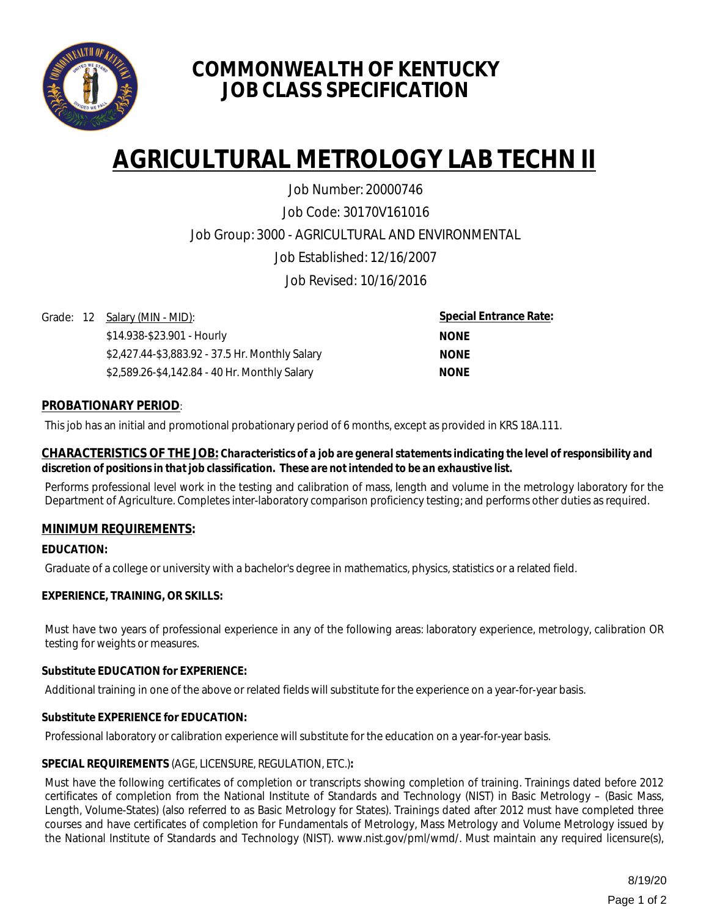

# **COMMONWEALTH OF KENTUCKY JOB CLASS SPECIFICATION**

# **AGRICULTURAL METROLOGY LAB TECHN II**

Job Code: 30170V161016 Job Group: 3000 - AGRICULTURAL AND ENVIRONMENTAL Job Established: 12/16/2007 Job Revised: 10/16/2016 Job Number: 20000746

Grade: 12 Salary (MIN - MID):

\$14.938-\$23.901 - Hourly \$2,427.44-\$3,883.92 - 37.5 Hr. Monthly Salary \$2,589.26-\$4,142.84 - 40 Hr. Monthly Salary

**Special Entrance Rate: NONE NONE NONE**

# **PROBATIONARY PERIOD**:

This job has an initial and promotional probationary period of 6 months, except as provided in KRS 18A.111.

#### **CHARACTERISTICS OF THE JOB:** *Characteristics of a job are general statements indicating the level of responsibility and discretion of positions in that job classification. These are not intended to be an exhaustive list.*

Performs professional level work in the testing and calibration of mass, length and volume in the metrology laboratory for the Department of Agriculture. Completes inter-laboratory comparison proficiency testing; and performs other duties as required.

## **MINIMUM REQUIREMENTS:**

## **EDUCATION:**

Graduate of a college or university with a bachelor's degree in mathematics, physics, statistics or a related field.

## **EXPERIENCE, TRAINING, OR SKILLS:**

Must have two years of professional experience in any of the following areas: laboratory experience, metrology, calibration OR testing for weights or measures.

## **Substitute EDUCATION for EXPERIENCE:**

Additional training in one of the above or related fields will substitute for the experience on a year-for-year basis.

## **Substitute EXPERIENCE for EDUCATION:**

Professional laboratory or calibration experience will substitute for the education on a year-for-year basis.

## **SPECIAL REQUIREMENTS** (AGE, LICENSURE, REGULATION, ETC.)**:**

Must have the following certificates of completion or transcripts showing completion of training. Trainings dated before 2012 certificates of completion from the National Institute of Standards and Technology (NIST) in Basic Metrology – (Basic Mass, Length, Volume-States) (also referred to as Basic Metrology for States). Trainings dated after 2012 must have completed three courses and have certificates of completion for Fundamentals of Metrology, Mass Metrology and Volume Metrology issued by the National Institute of Standards and Technology (NIST). www.nist.gov/pml/wmd/. Must maintain any required licensure(s),